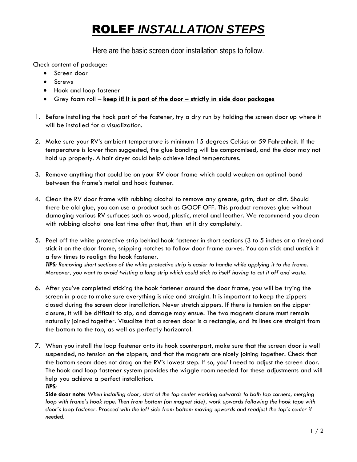## ROLEF *INSTALLATION STEPS*

Here are the basic screen door installation steps to follow.

Check content of package:

- Screen door
- Screws
- Hook and loop fastener
- Grey foam roll **keep it! It is part of the door – strictly in side door packages**
- 1. Before installing the hook part of the fastener, try a dry run by holding the screen door up where it will be installed for a visualization.
- 2. Make sure your RV's ambient temperature is minimum 15 degrees Celsius or 59 Fahrenheit. If the temperature is lower than suggested, the glue bonding will be compromised, and the door may not hold up properly. A hair dryer could help achieve ideal temperatures.
- 3. Remove anything that could be on your RV door frame which could weaken an optimal bond between the frame's metal and hook fastener.
- 4. Clean the RV door frame with rubbing alcohol to remove any grease, grim, dust or dirt. Should there be old glue, you can use a product such as GOOF OFF. This product removes glue without damaging various RV surfaces such as wood, plastic, metal and leather. We recommend you clean with rubbing alcohol one last time after that, then let it dry completely.
- 5. Peel off the white protective strip behind hook fastener in short sections (3 to 5 inches at a time) and stick it on the door frame, snipping notches to follow door frame curves. You can stick and unstick it a few times to realign the hook fastener. *TIPS: Removing short sections of the white protective strip is easier to handle while applying it to the frame.*

*Moreover, you want to avoid twisting a long strip which could stick to itself having to cut it off and waste.*

- 6. After you've completed sticking the hook fastener around the door frame, you will be trying the screen in place to make sure everything is nice and straight. It is important to keep the zippers closed during the screen door installation. Never stretch zippers. If there is tension on the zipper closure, it will be difficult to zip, and damage may ensue. The two magnets closure must remain naturally joined together. Visualize that a screen door is a rectangle, and its lines are straight from the bottom to the top, as well as perfectly horizontal.
- 7. When you install the loop fastener onto its hook counterpart, make sure that the screen door is well suspended, no tension on the zippers, and that the magnets are nicely joining together. Check that the bottom seam does not drag on the RV's lowest step. If so, you'll need to adjust the screen door. The hook and loop fastener system provides the wiggle room needed for these adjustments and will help you achieve a perfect installation. *TIPS:*

**Side door note:** *When installing door, start at the top center working outwards to both top corners, merging loop with frame's hook tape. Then from bottom (on magnet side), work upwards following the hook tape with door's loop fastener. Proceed with the left side from bottom moving upwards and readjust the top's center if needed.*